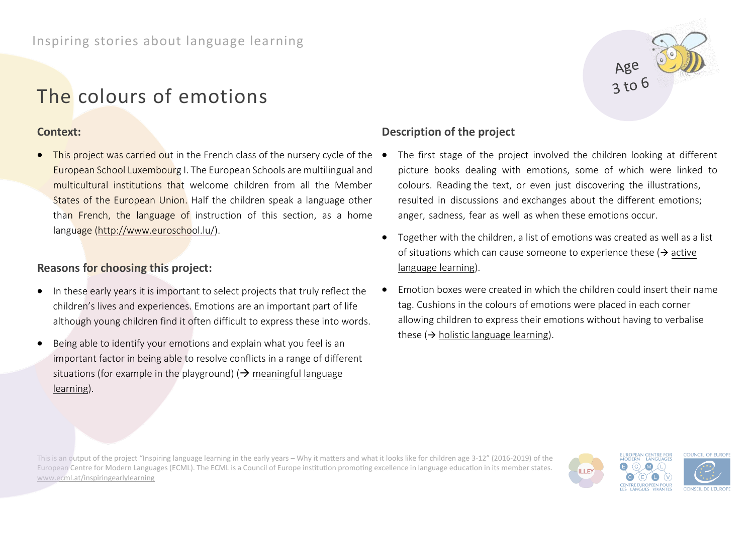# The colours of emotions

### **Context:**

This project was carried out in the French class of the nursery cycle of the  $\bullet$ European School Luxembourg I. The European Schools are multilingual and multicultural institutions that welcome children from all the Member States of the European Union. Half the children speak a language other than French, the language of instruction of this section, as a home language [\(http://www.euroschool.lu/\)](http://www.euroschool.lu/).

# **Reasons for choosing this project:**

- In these early years it is important to select projects that truly reflect the children's lives and experiences. Emotions are an important part of life although young children find it often difficult to express these into words.
- Being able to identify your emotions and explain what you feel is an important factor in being able to resolve conflicts in a range of different situations (for example in the playground) ( $\rightarrow$  meaningful language learning).



# **Description of the project**

- The first stage of the project involved the children looking at different picture books dealing with emotions, some of which were linked to colours. Reading the text, or even just discovering the illustrations, resulted in discussions and exchanges about the different emotions; anger, sadness, fear as well as when these emotions occur.
- Together with the children, a list of emotions was created as well as a list of situations which can cause someone to experience these  $\rightarrow$  active language learning).
- Emotion boxes were created in which the children could insert their name tag. Cushions in the colours of emotions were placed in each corner allowing children to express their emotions without having to verbalise these ( $\rightarrow$  holistic language learning).

This is an output of the project "Inspiring language learning in the early years – Why it matters and what it looks like for children age 3-12" (2016-2019) of the European Centre for Modern Languages (ECML). The ECML is a Council of Europe institution promoting excellence in language education in its member states. [www.ecml.at/inspiringearlylearning](http://www.ecml.at/inspiringearlylearning)